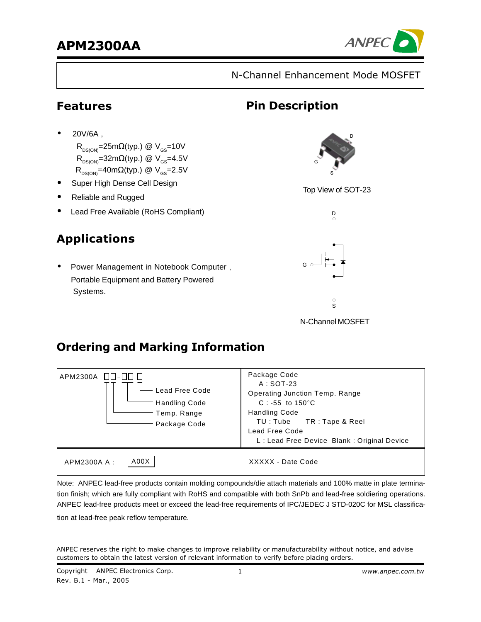

N-Channel Enhancement Mode MOSFET

**Pin Description** 

## **Features**

•20V/6A ,

 $R_{DS(ON)}$ =25m $\Omega$ (typ.) @ V<sub>GS</sub>=10V  $R_{DS(ON)}$ =32m $\Omega$ (typ.) @ V<sub>GS</sub>=4.5V  $R_{DS(ON)}=40m\Omega(typ.)$  @  $V_{GS}=2.5V$ 

- Super High Dense Cell Design
- Reliable and Rugged
- Lead Free Available (RoHS Compliant)

# Applications

• Power Management in Notebook Computer , Portable Equipment and Battery Powered Systems.



Top View of SOT-23



N-Channel MOSFET

# **Ordering and Marking Information**

| APM2300A $\Box$ $\Box$ - $\Box$ $\Box$<br>Lead Free Code<br><b>Handling Code</b><br>Temp. Range<br>Package Code | Package Code<br>$A:SOT-23$<br><b>Operating Junction Temp. Range</b><br>$C: -55$ to 150 °C<br><b>Handling Code</b><br>TU: Tube TR: Tape & Reel<br>Lead Free Code<br>L: Lead Free Device Blank: Original Device |
|-----------------------------------------------------------------------------------------------------------------|---------------------------------------------------------------------------------------------------------------------------------------------------------------------------------------------------------------|
| A00X<br>APM2300A A :                                                                                            | XXXXX - Date Code                                                                                                                                                                                             |

Note: ANPEC lead-free products contain molding compounds/die attach materials and 100% matte in plate termination finish; which are fully compliant with RoHS and compatible with both SnPb and lead-free soldiering operations. ANPEC lead-free products meet or exceed the lead-free requirements of IPC/JEDEC J STD-020C for MSL classification at lead-free peak reflow temperature.

ANPEC reserves the right to make changes to improve reliability or manufacturability without notice, and advise customers to obtain the latest version of relevant information to verify before placing orders.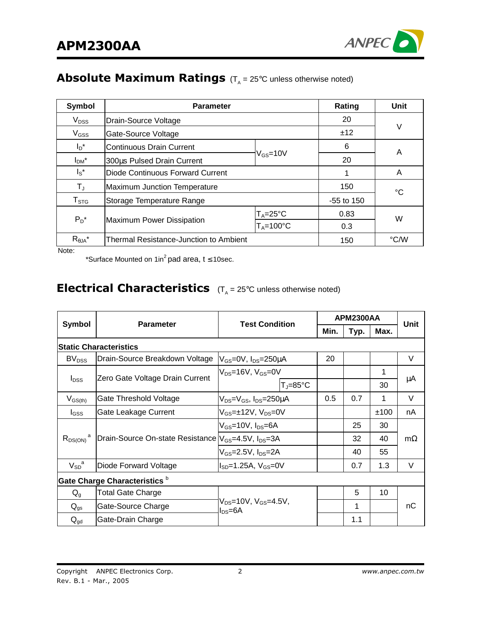

## Absolute Maximum Ratings  $(T_{\rm A}=25^{\circ}{\rm C}$  unless otherwise noted)

| Symbol                 | <b>Parameter</b>                                                              | Rating                   | Unit |   |  |
|------------------------|-------------------------------------------------------------------------------|--------------------------|------|---|--|
| $V_{DSS}$              | Drain-Source Voltage                                                          | 20                       |      |   |  |
| $V_{GSS}$              | Gate-Source Voltage                                                           |                          | ±12  | V |  |
| $I_D^*$                | <b>Continuous Drain Current</b>                                               |                          | 6    | A |  |
| $I_{DM}$ *             | 300us Pulsed Drain Current                                                    | $\rm V_{GS}\!\!=\!\!10V$ |      |   |  |
| $I_S^*$                | Diode Continuous Forward Current                                              |                          | A    |   |  |
| ТJ                     | Maximum Junction Temperature                                                  | 150                      | °C   |   |  |
| ${\sf T}_{\text{STG}}$ | Storage Temperature Range                                                     | $-55$ to 150             |      |   |  |
|                        | $T_A = 25^{\circ}C$<br>$P_D^*$<br>Maximum Power Dissipation<br>$T_A = 100$ °C |                          | 0.83 | W |  |
|                        |                                                                               |                          | 0.3  |   |  |
| $R_{\theta JA}^*$      | Thermal Resistance-Junction to Ambient                                        | 150                      | °C/W |   |  |

Note:

\*Surface Mounted on 1in<sup>2</sup> pad area,  $t \le 10$ sec.

#### **Electrical Characteristics**  $(T_A = 25^{\circ}C$  unless otherwise noted)

|                         |                                                                             |                                                             |      | <b>APM2300AA</b> |      | Unit      |
|-------------------------|-----------------------------------------------------------------------------|-------------------------------------------------------------|------|------------------|------|-----------|
| <b>Symbol</b>           | <b>Parameter</b>                                                            | <b>Test Condition</b>                                       | Min. | Typ.             | Max. |           |
|                         | <b>Static Characteristics</b>                                               |                                                             |      |                  |      |           |
| BV <sub>DSS</sub>       | Drain-Source Breakdown Voltage                                              | V <sub>GS</sub> =0V, I <sub>DS</sub> =250μA                 | 20   |                  |      | V         |
|                         |                                                                             | $V_{DS}$ =16V, V $_{GS}$ =0V                                |      |                  | 1    |           |
| $I_{DSS}$               | Zero Gate Voltage Drain Current                                             | $T_{\text{J}} = 85^{\circ}C$                                |      |                  | 30   | μA        |
| $V_{GS(th)}$            | Gate Threshold Voltage                                                      | V <sub>DS</sub> =V <sub>GS</sub> , I <sub>DS</sub> =250µA   | 0.5  | 0.7              | 1    | $\vee$    |
| $I_{GSS}$               | Gate Leakage Current                                                        | $V_{GS}$ =±12V, $V_{DS}$ =0V                                |      |                  | ±100 | nA        |
|                         |                                                                             | V <sub>GS</sub> =10V, I <sub>DS</sub> =6A                   |      | 25               | 30   |           |
| $R_{DS(ON)}^{\qquad a}$ | Drain-Source On-state Resistance V <sub>GS</sub> =4.5V, I <sub>DS</sub> =3A |                                                             |      | 32               | 40   | $m\Omega$ |
|                         |                                                                             | $V_{GS}$ =2.5V, I <sub>DS</sub> =2A                         |      | 40               | 55   |           |
| $V_{SD}^{\quad a}$      | Diode Forward Voltage                                                       | $I_{SD} = 1.25A$ , $V_{GS} = 0V$                            |      | 0.7              | 1.3  | $\vee$    |
|                         | Gate Charge Characteristics <sup>b</sup>                                    |                                                             |      |                  |      |           |
| $Q_q$                   | <b>Total Gate Charge</b>                                                    |                                                             |      | 5                | 10   |           |
| $Q_{gs}$                | Gate-Source Charge                                                          | V <sub>DS</sub> =10V, V <sub>GS</sub> =4.5V,<br>$I_{DS}=6A$ |      | 1                |      | nC        |
| $Q_{gd}$                | Gate-Drain Charge                                                           |                                                             |      | 1.1              |      |           |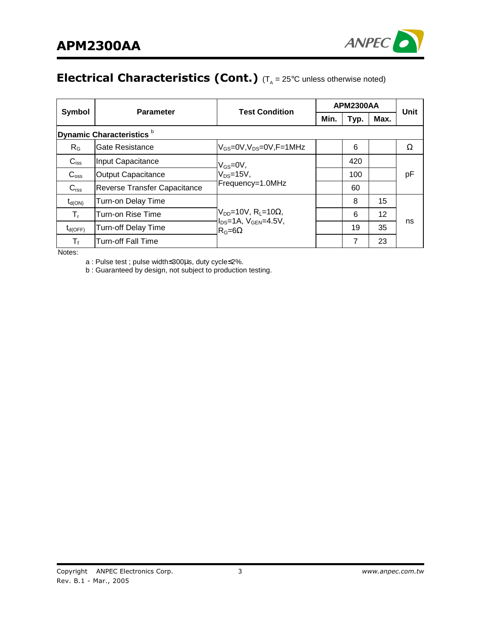

# **Electrical Characteristics (Cont.)** ( $T_A = 25^{\circ}$ C unless otherwise noted)

|                           | <b>Parameter</b>                     | <b>Test Condition</b>                                                          | <b>APM2300AA</b> |      |      | Unit |
|---------------------------|--------------------------------------|--------------------------------------------------------------------------------|------------------|------|------|------|
|                           | <b>Symbol</b>                        |                                                                                | Min.             | Typ. | Max. |      |
|                           | Dynamic Characteristics <sup>b</sup> |                                                                                |                  |      |      |      |
| $R_{G}$                   | Gate Resistance                      | $V_{GS}$ =0V,V <sub>DS</sub> =0V,F=1MHz                                        |                  | 6    |      | Ω    |
| $C_{iss}$                 | Input Capacitance                    | $V_{GS}=$ 0V,                                                                  |                  | 420  |      |      |
| C <sub>oss</sub>          | <b>Output Capacitance</b>            | $V_{DS}=15V$ ,                                                                 |                  | 100  |      | рF   |
| $C_{\text{rss}}$          | Reverse Transfer Capacitance         | Frequency=1.0MHz                                                               |                  | 60   |      |      |
| $t_{\text{d}(\text{ON})}$ | Turn-on Delay Time                   |                                                                                |                  | 8    | 15   |      |
| т,                        | Turn-on Rise Time                    | $V_{DD}$ =10V, R <sub>L</sub> =10 $\Omega$ ,<br>$I_{DS}$ =1A, $V_{GEN}$ =4.5V, |                  | 6    | 12   |      |
| $t_{d(OFF)}$              | <b>Turn-off Delay Time</b>           | $R_G=6\Omega$                                                                  |                  | 19   | 35   | ns   |
| T,                        | <b>Turn-off Fall Time</b>            |                                                                                |                  | 7    | 23   |      |

Notes:

a : Pulse test ; pulse width≤300µs, duty cycle≤2%.

b : Guaranteed by design, not subject to production testing.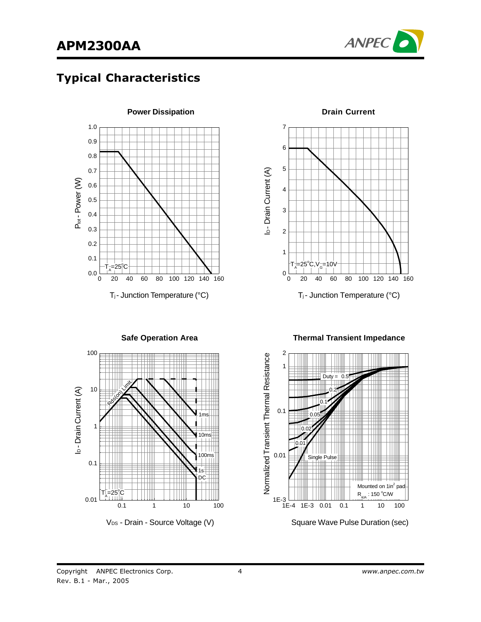

## Typical Characteristics



**Power Dissipation**

7 6 5 I<sub>D</sub>-Drain Current (A) ID - Drain Current (A) 4 3 2 1  $=25^\circ$  $\mathsf{T}^{\scriptscriptstyle\dagger}_{\scriptscriptstyle{\mathsf{A}}}$  $C, V_G^-=10V$ 0 0 20 40 60 80 100 120 140 160 Tj - Junction Temperature (°C)

**Drain Current**

**Thermal Transient Impedance**



**Safe Operation Area**

V<sub>DS</sub> - Drain - Source Voltage (V)



Square Wave Pulse Duration (sec)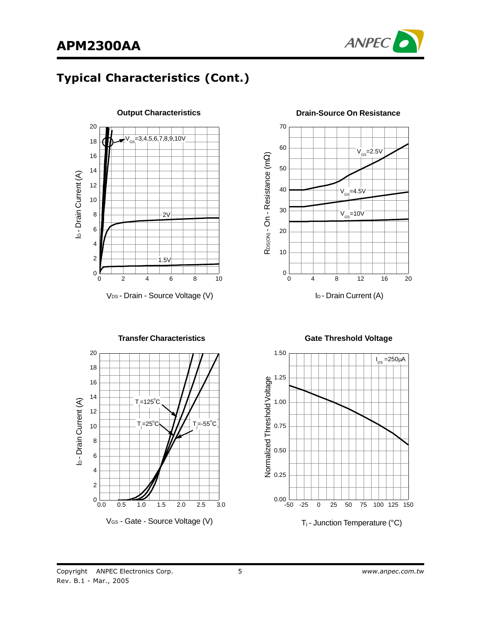

# Typical Characteristics (Cont.)





#### **Drain-Source On Resistance**



**Gate Threshold Voltage**

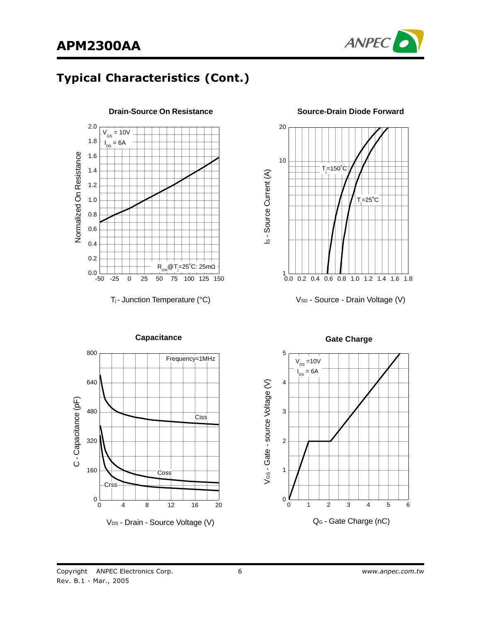

## Typical Characteristics (Cont.)

**Drain-Source On Resistance**





**Source-Drain Diode Forward**

V<sub>SD</sub> - Source - Drain Voltage (V)



V<sub>DS</sub> - Drain - Source Voltage (V)

**Capacitance Gate Charge** 



Tj - Junction Temperature (°C)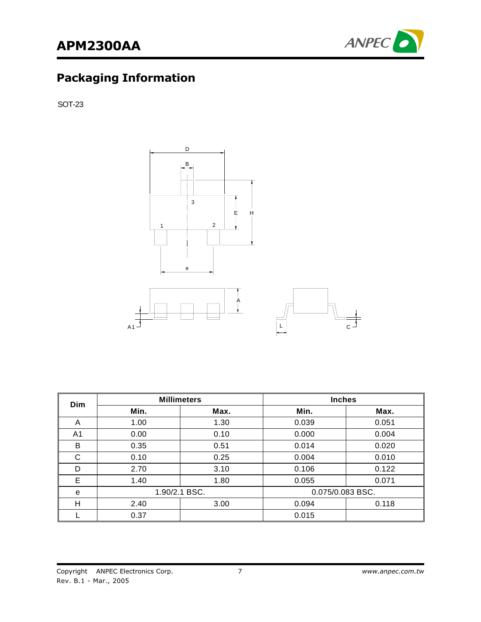

## **Packaging Information**

SOT-23



| <b>Dim</b> |      | <b>Millimeters</b> | <b>Inches</b>    |       |
|------------|------|--------------------|------------------|-------|
|            | Min. | Max.               | Min.             | Max.  |
| A          | 1.00 | 1.30               | 0.039            | 0.051 |
| A1         | 0.00 | 0.10               | 0.000            | 0.004 |
| В          | 0.35 | 0.51               | 0.014            | 0.020 |
| C          | 0.10 | 0.25               | 0.004            | 0.010 |
| D          | 2.70 | 3.10               | 0.106            | 0.122 |
| Е          | 1.40 | 1.80               | 0.055            | 0.071 |
| е          |      | 1.90/2.1 BSC.      | 0.075/0.083 BSC. |       |
| н          | 2.40 | 3.00               | 0.094            | 0.118 |
|            | 0.37 |                    | 0.015            |       |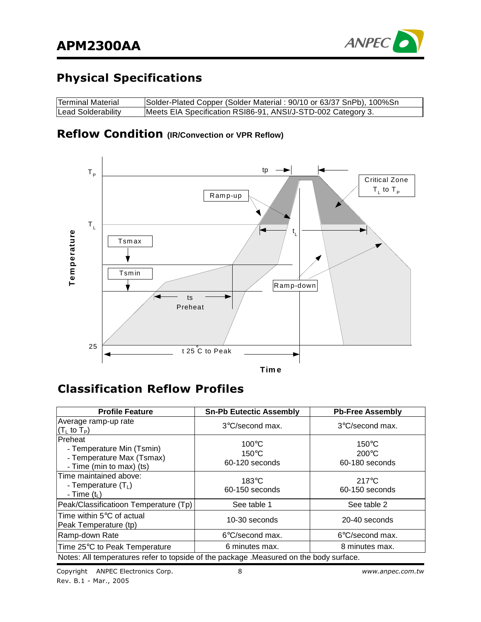

# **Physical Specifications**

| Terminal Material         | Solder-Plated Copper (Solder Material: 90/10 or 63/37 SnPb), 100%Sn |
|---------------------------|---------------------------------------------------------------------|
| <b>Lead Solderability</b> | Meets EIA Specification RSI86-91, ANSI/J-STD-002 Category 3.        |

#### **Reflow Condition** (IR/Convection or VPR Reflow)



## **Classification Reflow Profiles**

| <b>Profile Feature</b>                                                                        | <b>Sn-Pb Eutectic Assembly</b>                       | <b>Pb-Free Assembly</b>                              |
|-----------------------------------------------------------------------------------------------|------------------------------------------------------|------------------------------------------------------|
| Average ramp-up rate<br>$(TL$ to $TP)$                                                        | $3^{\circ}$ C/second max.                            | $3^{\circ}$ C/second max.                            |
| Preheat<br>- Temperature Min (Tsmin)<br>- Temperature Max (Tsmax)<br>- Time (min to max) (ts) | $100^{\circ}$ C<br>$150^{\circ}$ C<br>60-120 seconds | $150^{\circ}$ C<br>$200^{\circ}$ C<br>60-180 seconds |
| Time maintained above:<br>- Temperature $(T_L)$<br>- Time $(tL)$                              | $183^{\circ}$ C<br>60-150 seconds                    | $217^{\circ}$ C<br>60-150 seconds                    |
| Peak/Classificatioon Temperature (Tp)                                                         | See table 1                                          | See table 2                                          |
| Time within 5°C of actual<br>Peak Temperature (tp)                                            | 10-30 seconds                                        | 20-40 seconds                                        |
| Ramp-down Rate                                                                                | 6°C/second max.                                      | 6°C/second max.                                      |
| Time 25°C to Peak Temperature                                                                 | 6 minutes max.                                       | 8 minutes max.                                       |
| Notes: All temperatures refer to topside of the package . Measured on the body surface.       |                                                      |                                                      |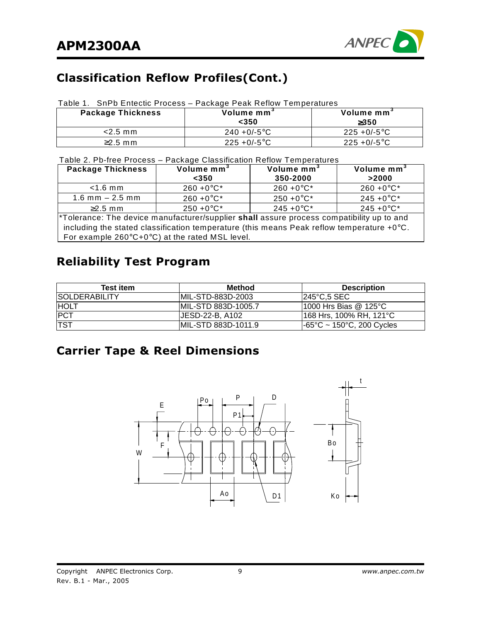

# Classification Reflow Profiles(Cont.)

#### Table 1. SnPb Entectic Process – Package Peak Reflow Temperatures

| <b>Package Thickness</b> | Volume mm<br><350 | Volume mm <sup>3</sup><br>$\geq$ 350 |
|--------------------------|-------------------|--------------------------------------|
| $<$ 2.5 mm               | $240 + 0/-5$ °C   | $225 + 0/-5$ °C                      |
| $\geq$ 2.5 mm            | $225 + 0/-5$ °C   | $225 + 0/-5$ °C                      |

Table 2. Pb-free Process – Package Classification Reflow Temperatures

| <b>Package Thickness</b>                                                                            | Volume mm <sup>3</sup><br>$<$ 350 | Volume mm <sup>3</sup><br>350-2000 | Volume mm <sup>3</sup><br>>2000 |  |  |
|-----------------------------------------------------------------------------------------------------|-----------------------------------|------------------------------------|---------------------------------|--|--|
| $<$ 1.6 mm                                                                                          | $260 + 0^{\circ}C^{*}$            | $260 + 0^{\circ}C^*$               | $260 + 0^{\circ}C^*$            |  |  |
| $1.6$ mm $- 2.5$ mm                                                                                 | $260 + 0^{\circ}C^{*}$            | $250 + 0^{\circ}C^*$               | $245 + 0$ °C*                   |  |  |
| $\geq$ 2.5 mm                                                                                       | $250 + 0^{\circ}C^*$              | $245 + 0$ °C*                      | $245 + 0$ °C*                   |  |  |
| *Tolerance: The device manufacturer/supplier shall assure process compatibility up to and           |                                   |                                    |                                 |  |  |
| including the stated classification temperature (this means Peak reflow temperature $+0^{\circ}$ C. |                                   |                                    |                                 |  |  |
| For example $260^{\circ}C + 0^{\circ}C$ at the rated MSL level.                                     |                                   |                                    |                                 |  |  |

## Reliability Test Program

| <b>Test item</b>     | <b>Method</b>        | <b>Description</b>                                                                 |
|----------------------|----------------------|------------------------------------------------------------------------------------|
| <b>SOLDERABILITY</b> | IMIL-STD-883D-2003   | 245°C,5 SEC                                                                        |
| <b>HOLT</b>          | IMIL-STD 883D-1005.7 | 11000 Hrs Bias @ 125°C                                                             |
| <b>PCT</b>           | IJESD-22-B. A102     | 168 Hrs, 100% RH, 121°C                                                            |
| <b>TST</b>           | IMIL-STD 883D-1011.9 | $\textsf{I-65}^{\circ}\textsf{C} \sim \textsf{150}^{\circ}\textsf{C}$ , 200 Cycles |

# **Carrier Tape & Reel Dimensions**